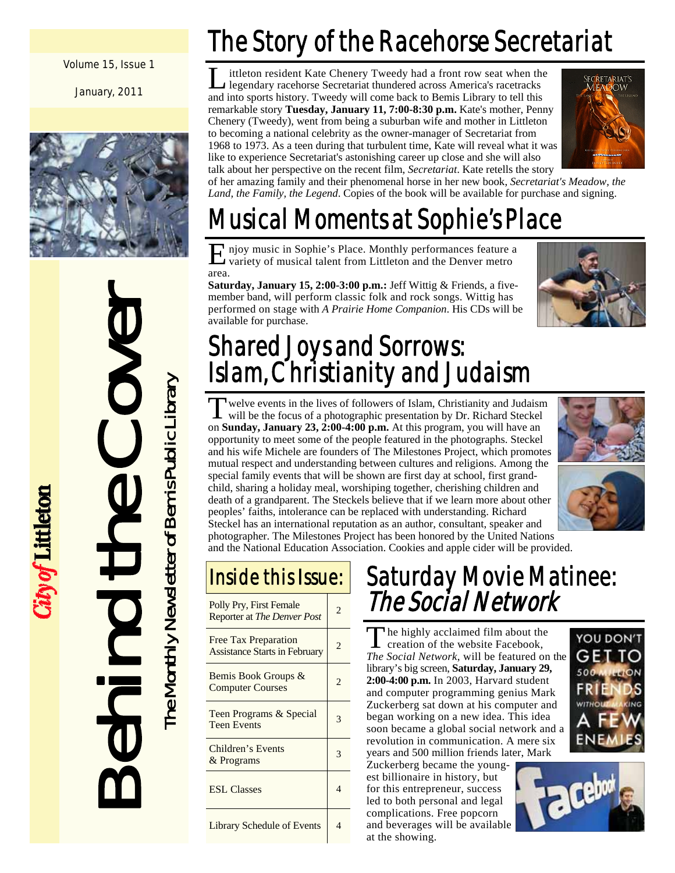#### Volume 15, Issue 1

January, 2011



# Behind the Cover The Monthly Newsletter of Bemis Public Library

City of Littleton

The Monthly Newsletter of Bemis Public Library

# The Story of the Racehorse Secretariat

ittleton resident Kate Chenery Tweedy had a front row seat when the legendary racehorse Secretariat thundered across America's racetracks and into sports history. Tweedy will come back to Bemis Library to tell this remarkable story **Tuesday, January 11, 7:00-8:30 p.m.** Kate's mother, Penny Chenery (Tweedy), went from being a suburban wife and mother in Littleton to becoming a national celebrity as the owner-manager of Secretariat from 1968 to 1973. As a teen during that turbulent time, Kate will reveal what it was like to experience Secretariat's astonishing career up close and she will also talk about her perspective on the recent film, *Secretariat*. Kate retells the story



of her amazing family and their phenomenal horse in her new book, *Secretariat's Meadow, the Land, the Family, the Legend*. Copies of the book will be available for purchase and signing.

# Musical Moments at Sophie's Place

E njoy music in Sophie's Place. Monthly performances feature a variety of musical talent from Littleton and the Denver metro area.

**Saturday, January 15, 2:00-3:00 p.m.:** Jeff Wittig & Friends, a fivemember band, will perform classic folk and rock songs. Wittig has performed on stage with *A Prairie Home Companion*. His CDs will be available for purchase.



## Shared Joys and Sorrows: Islam, Christianity and Judaism

Twelve events in the lives of followers of Islam, Christianity and Judaism will be the focus of a photographic presentation by Dr. Richard Steckel on **Sunday, January 23, 2:00-4:00 p.m.** At this program, you will have an opportunity to meet some of the people featured in the photographs. Steckel and his wife Michele are founders of The Milestones Project, which promotes mutual respect and understanding between cultures and religions. Among the special family events that will be shown are first day at school, first grandchild, sharing a holiday meal, worshiping together, cherishing children and death of a grandparent. The Steckels believe that if we learn more about other peoples' faiths, intolerance can be replaced with understanding. Richard Steckel has an international reputation as an author, consultant, speaker and photographer. The Milestones Project has been honored by the United Nations and the National Education Association. Cookies and apple cider will be provided.



| Polly Pry, First Female<br>Reporter at The Denver Post              | 2              |
|---------------------------------------------------------------------|----------------|
| <b>Free Tax Preparation</b><br><b>Assistance Starts in February</b> | $\mathfrak{D}$ |
| Bemis Book Groups &<br><b>Computer Courses</b>                      |                |
| Teen Programs & Special<br><b>Teen Events</b>                       | 3              |
| Children's Events<br>& Programs                                     | 3              |
| <b>ESL Classes</b>                                                  | 4              |
| <b>Library Schedule of Events</b>                                   |                |

## **Inside this Issue:** Saturday Movie Matinee: The Social Network

The highly acclaimed film about the creation of the website Facebook, *The Social Network*, will be featured on the library's big screen, **Saturday, January 29, 2:00-4:00 p.m.** In 2003, Harvard student and computer programming genius Mark Zuckerberg sat down at his computer and began working on a new idea. This idea soon became a global social network and a revolution in communication. A mere six years and 500 million friends later, Mark

Zuckerberg became the youngest billionaire in history, but for this entrepreneur, success led to both personal and legal complications. Free popcorn and beverages will be available at the showing.



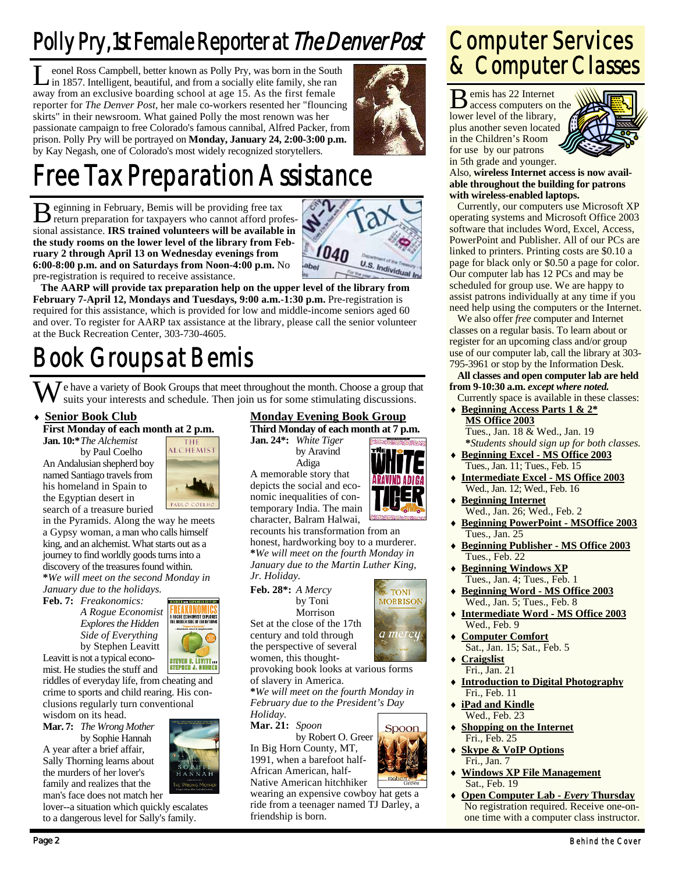## Polly Pry, 1st Female Reporter at The Denver Post

eonel Ross Campbell, better known as Polly Pry, was born in the South in 1857. Intelligent, beautiful, and from a socially elite family, she ran away from an exclusive boarding school at age 15. As the first female reporter for *The Denver Post*, her male co-workers resented her "flouncing skirts" in their newsroom. What gained Polly the most renown was her passionate campaign to free Colorado's famous cannibal, Alfred Packer, from prison. Polly Pry will be portrayed on **Monday, January 24, 2:00-3:00 p.m.**  by Kay Negash, one of Colorado's most widely recognized storytellers.



# Free Tax Preparation Assistance

B eginning in February, Bemis will be providing free tax return preparation for taxpayers who cannot afford professional assistance. **IRS trained volunteers will be available in the study rooms on the lower level of the library from February 2 through April 13 on Wednesday evenings from 6:00-8:00 p.m. and on Saturdays from Noon-4:00 p.m.** No pre-registration is required to receive assistance.



**The AARP will provide tax preparation help on the upper level of the library from February 7-April 12, Mondays and Tuesdays, 9:00 a.m.-1:30 p.m.** Pre-registration is required for this assistance, which is provided for low and middle-income seniors aged 60 and over. To register for AARP tax assistance at the library, please call the senior volunteer at the Buck Recreation Center, 303-730-4605.

## Book Groups at Bemis

We have a variety of Book Groups that meet throughout the month. Choose a group that suits your interests and schedule. Then join us for some stimulating discussions.

 **Senior Book Club First Monday of each month at 2 p.m.** 

**Jan. 10:\*** *The Alchemist*  by Paul Coelho

An Andalusian shepherd boy named Santiago travels from his homeland in Spain to the Egyptian desert in search of a treasure buried



**REAKONOMIC:** UE ECONOMIST E<br>Idden side of Eve

in the Pyramids. Along the way he meets a Gypsy woman, a man who calls himself king, and an alchemist. What starts out as a journey to find worldly goods turns into a discovery of the treasures found within. **\****We will meet on the second Monday in* 

*January due to the holidays.*  **Feb. 7:** *Freakonomics:* 

 *A Rogue Economist Explores the Hidden Side of Everything* by Stephen Leavitt Leavitt is not a typical econo-

STEVEN D. LEVITT ...<br>STEPHEN J. DUBNER mist. He studies the stuff and riddles of everyday life, from cheating and

crime to sports and child rearing. His conclusions regularly turn conventional

wisdom on its head. **Mar. 7:** *The Wrong Mother* 

by Sophie Hannah A year after a brief affair, Sally Thorning learns about the murders of her lover's family and realizes that the man's face does not match her

lover--a situation which quickly escalates to a dangerous level for Sally's family.

#### **Monday Evening Book Group**

**Third Monday of each month at 7 p.m. Jan. 24\*:** *White Tiger*  by Aravind Adiga

A memorable story that



**TONI MORRISON** 

a mercy

Spoon

depicts the social and economic inequalities of contemporary India. The main character, Balram Halwai, recounts his transformation from an

honest, hardworking boy to a murderer. **\****We will meet on the fourth Monday in January due to the Martin Luther King, Jr. Holiday.* 

#### **Feb. 28\*:** *A Mercy* by Toni

Set at the close of the 17th century and told through the perspective of several

provoking book looks at various forms of slavery in America.

**\****We will meet on the fourth Monday in February due to the President's Day Holiday.* 

**Mar. 21:** *Spoon*  by Robert O. Greer In Big Horn County, MT,

1991, when a barefoot half-African American, half-Native American hitchhiker

wearing an expensive cowboy hat gets a ride from a teenager named TJ Darley, a friendship is born.

## Computer Services & Computer Classes

B emis has 22 Internet access computers on the lower level of the library, plus another seven located in the Children's Room for use by our patrons in 5th grade and younger.



Also, **wireless Internet access is now available throughout the building for patrons with wireless-enabled laptops.**

 Currently, our computers use Microsoft XP operating systems and Microsoft Office 2003 software that includes Word, Excel, Access, PowerPoint and Publisher. All of our PCs are linked to printers. Printing costs are \$0.10 a page for black only or \$0.50 a page for color. Our computer lab has 12 PCs and may be scheduled for group use. We are happy to assist patrons individually at any time if you need help using the computers or the Internet.

 We also offer *free* computer and Internet classes on a regular basis. To learn about or register for an upcoming class and/or group use of our computer lab, call the library at 303- 795-3961 or stop by the Information Desk.

**All classes and open computer lab are held from 9-10:30 a.m.** *except where noted.*

 Currently space is available in these classes: **Beginning Access Parts 1 & 2\* MS Office 2003**

 Tues., Jan. 18 & Wed., Jan. 19  **\****Students should sign up for both classes.* 

- **Beginning Excel MS Office 2003** Tues., Jan. 11; Tues., Feb. 15
- **Intermediate Excel MS Office 2003** Wed., Jan. 12; Wed., Feb. 16
- **Beginning Internet** Wed., Jan. 26; Wed., Feb. 2
- **Beginning PowerPoint MSOffice 2003** Tues., Jan. 25
- **Beginning Publisher MS Office 2003** Tues., Feb. 22
- **Beginning Windows XP** Tues., Jan. 4; Tues., Feb. 1
- **Beginning Word MS Office 2003** Wed., Jan. 5; Tues., Feb. 8
- **Intermediate Word MS Office 2003** Wed., Feb. 9
- **Computer Comfort** Sat., Jan. 15; Sat., Feb. 5
- **Craigslist** Fri., Jan. 21
- **Introduction to Digital Photography** Fri., Feb. 11
- **iPad and Kindle** Wed., Feb. 23
- **Shopping on the Internet** Fri., Feb. 25
- **Skype & VoIP Options** Fri., Jan. 7
- **Windows XP File Management** Sat., Feb. 19
- **Open Computer Lab** *Every* **Thursday** No registration required. Receive one-onone time with a computer class instructor.



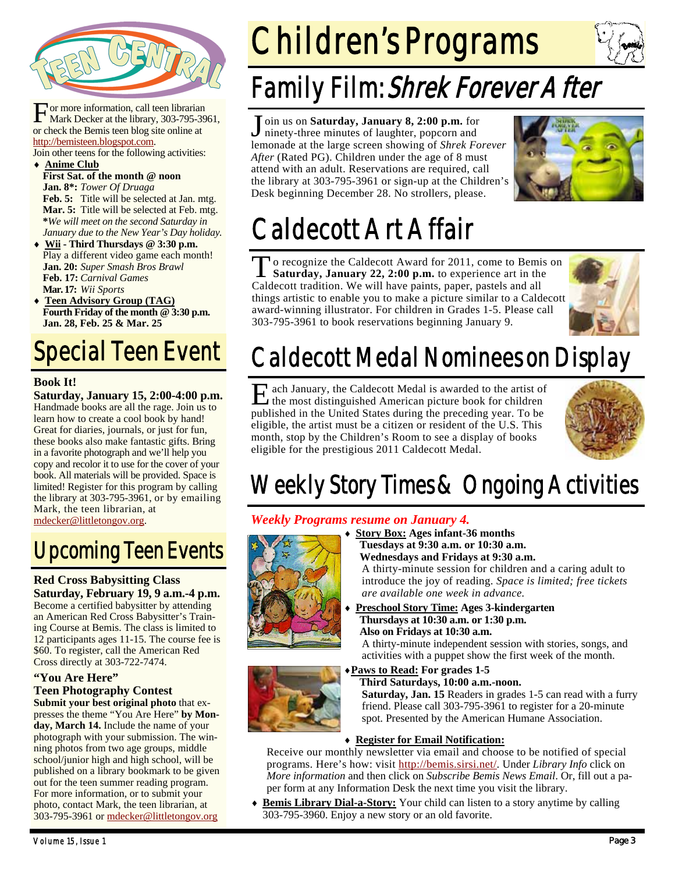

For more information, call teen librarian<br>Mark Decker at the library, 303-795-3961, or check the Bemis teen blog site online at http://bemisteen.blogspot.com.

Join other teens for the following activities: **Anime Club**

- **First Sat. of the month @ noon Jan. 8\*:** *Tower Of Druaga* **Feb. 5:** Title will be selected at Jan. mtg. **Mar. 5:** Title will be selected at Feb. mtg. **\****We will meet on the second Saturday in January due to the New Year's Day holiday.*
- **Wii Third Thursdays @ 3:30 p.m.**  Play a different video game each month! **Jan. 20:** *Super Smash Bros Brawl*  **Feb. 17:** *Carnival Games*  **Mar. 17:** *Wii Sports*
- **Teen Advisory Group (TAG) Fourth Friday of the month @ 3:30 p.m. Jan. 28, Feb. 25 & Mar. 25**

# Special Teen Event

#### **Book It!**

**Saturday, January 15, 2:00-4:00 p.m.**  Handmade books are all the rage. Join us to learn how to create a cool book by hand! Great for diaries, journals, or just for fun, these books also make fantastic gifts. Bring in a favorite photograph and we'll help you copy and recolor it to use for the cover of your book. All materials will be provided. Space is limited! Register for this program by calling the library at 303-795-3961, or by emailing Mark, the teen librarian, at mdecker@littletongov.org.

## Upcoming Teen Events

#### **Red Cross Babysitting Class Saturday, February 19, 9 a.m.-4 p.m.**  Become a certified babysitter by attending

an American Red Cross Babysitter's Training Course at Bemis. The class is limited to 12 participants ages 11-15. The course fee is \$60. To register, call the American Red Cross directly at 303-722-7474.

#### **"You Are Here"**

#### **Teen Photography Contest Submit your best original photo** that ex-

presses the theme "You Are Here" **by Monday, March 14.** Include the name of your photograph with your submission. The winning photos from two age groups, middle school/junior high and high school, will be published on a library bookmark to be given out for the teen summer reading program. For more information, or to submit your photo, contact Mark, the teen librarian, at 303-795-3961 or mdecker@littletongov.org

# Children's Programs



## Family Film: Shrek Forever After

J oin us on **Saturday, January 8, 2:00 p.m.** for ninety-three minutes of laughter, popcorn and lemonade at the large screen showing of *Shrek Forever*  After (Rated PG). Children under the age of 8 must attend with an adult. Reservations are required, call the library at 303-795-3961 or sign-up at the Children's Desk beginning December 28. No strollers, please.



# Caldecott Art Affair

To recognize the Caldecott Award for 2011, come to Bemis on **Saturday, January 22, 2:00 p.m.** to experience art in the Caldecott tradition. We will have paints, paper, pastels and all things artistic to enable you to make a picture similar to a Caldecott award-winning illustrator. For children in Grades 1-5. Please call 303-795-3961 to book reservations beginning January 9.



# Caldecott Medal Nominees on Display

E ach January, the Caldecott Medal is awarded to the artist of the most distinguished American picture book for children published in the United States during the preceding year. To be eligible, the artist must be a citizen or resident of the U.S. This month, stop by the Children's Room to see a display of books eligible for the prestigious 2011 Caldecott Medal.



## Weekly Story Times & Ongoing Activities

#### *Weekly Programs resume on January 4.*



 **Story Box: Ages infant-36 months Tuesdays at 9:30 a.m. or 10:30 a.m. Wednesdays and Fridays at 9:30 a.m.** 

A thirty-minute session for children and a caring adult to introduce the joy of reading. *Space is limited; free tickets are available one week in advance.* 

 **Preschool Story Time: Ages 3-kindergarten Thursdays at 10:30 a.m. or 1:30 p.m. Also on Fridays at 10:30 a.m.** 

A thirty-minute independent session with stories, songs, and activities with a puppet show the first week of the month.

#### **Paws to Read: For grades 1-5**



 **Third Saturdays, 10:00 a.m.-noon. Saturday, Jan. 15** Readers in grades 1-5 can read with a furry friend. Please call 303-795-3961 to register for a 20-minute spot. Presented by the American Humane Association.

#### **Register for Email Notification:**

Receive our monthly newsletter via email and choose to be notified of special programs. Here's how: visit http://bemis.sirsi.net/. Under *Library Info* click on *More information* and then click on *Subscribe Bemis News Email*. Or, fill out a paper form at any Information Desk the next time you visit the library.

 **Bemis Library Dial-a-Story:** Your child can listen to a story anytime by calling 303-795-3960. Enjoy a new story or an old favorite.